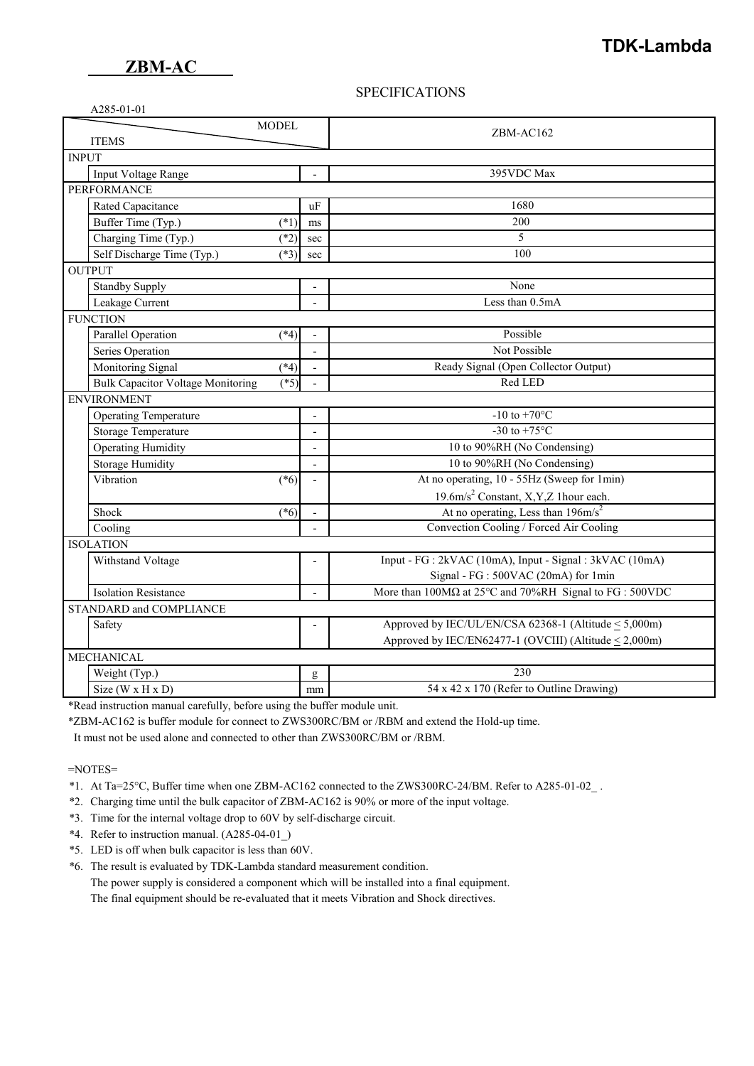## **SPECIFICATIONS**

| <b>MODEL</b><br><b>ITEMS</b>                      |                |                | ZBM-AC162                                                                       |  |  |
|---------------------------------------------------|----------------|----------------|---------------------------------------------------------------------------------|--|--|
|                                                   |                |                |                                                                                 |  |  |
| <b>INPUT</b>                                      |                |                |                                                                                 |  |  |
| Input Voltage Range                               |                |                | 395VDC Max                                                                      |  |  |
| <b>PERFORMANCE</b>                                |                |                |                                                                                 |  |  |
| Rated Capacitance<br><b>uF</b>                    |                |                | 1680                                                                            |  |  |
| Buffer Time (Typ.)                                | $(*1)$         | ms             | 200                                                                             |  |  |
| Charging Time (Typ.)                              | $(*2)$         | sec            | 5                                                                               |  |  |
| Self Discharge Time (Typ.)                        | $(*3)$         | sec            | 100                                                                             |  |  |
| <b>OUTPUT</b>                                     |                |                |                                                                                 |  |  |
| <b>Standby Supply</b>                             |                |                | None                                                                            |  |  |
| Leakage Current                                   |                |                | Less than 0.5mA                                                                 |  |  |
| <b>FUNCTION</b>                                   |                |                |                                                                                 |  |  |
| Parallel Operation                                | $(*4)$         |                | Possible                                                                        |  |  |
| Series Operation                                  |                |                | Not Possible                                                                    |  |  |
| Monitoring Signal                                 | $(*4)$         |                | Ready Signal (Open Collector Output)                                            |  |  |
| <b>Bulk Capacitor Voltage Monitoring</b>          | $(*5)$         |                | Red LED                                                                         |  |  |
| <b>ENVIRONMENT</b>                                |                |                |                                                                                 |  |  |
| Operating Temperature<br>$\overline{\phantom{a}}$ |                |                | $-10$ to $+\overline{70^{\circ}C}$                                              |  |  |
| Storage Temperature<br>$\overline{a}$             |                |                | -30 to +75 $^{\circ}$ C                                                         |  |  |
| <b>Operating Humidity</b>                         | $\overline{a}$ |                | 10 to 90%RH (No Condensing)                                                     |  |  |
| Storage Humidity                                  | $\overline{a}$ |                | 10 to 90%RH (No Condensing)                                                     |  |  |
| Vibration<br>$(*6)$                               |                |                | At no operating, 10 - 55Hz (Sweep for 1min)                                     |  |  |
|                                                   |                |                | 19.6m/s <sup>2</sup> Constant, X,Y,Z 1hour each.                                |  |  |
| Shock                                             | $(*6)$         |                | At no operating, Less than $196 \text{m/s}^2$                                   |  |  |
| Cooling                                           |                |                | Convection Cooling / Forced Air Cooling                                         |  |  |
| <b>ISOLATION</b>                                  |                |                |                                                                                 |  |  |
| Withstand Voltage                                 |                | $\overline{a}$ | Input - FG : 2kVAC (10mA), Input - Signal : 3kVAC (10mA)                        |  |  |
|                                                   |                |                | Signal - FG : 500VAC (20mA) for 1min                                            |  |  |
| <b>Isolation Resistance</b>                       |                | $\overline{a}$ | More than $100M\Omega$ at $25^{\circ}$ C and $70\%$ RH Signal to FG : $500$ VDC |  |  |
| STANDARD and COMPLIANCE                           |                |                |                                                                                 |  |  |
| Safety                                            |                |                | Approved by IEC/UL/EN/CSA 62368-1 (Altitude < 5,000m)                           |  |  |
|                                                   |                |                | Approved by IEC/EN62477-1 (OVCIII) (Altitude < 2,000m)                          |  |  |
| <b>MECHANICAL</b>                                 |                |                |                                                                                 |  |  |
| Weight (Typ.)                                     |                | g              | 230                                                                             |  |  |
| Size ( $W \times H \times D$ )                    |                | mm             | 54 x 42 x 170 (Refer to Outline Drawing)                                        |  |  |

\*Read instruction manual carefully, before using the buffer module unit.

\*ZBM-AC162 is buffer module for connect to ZWS300RC/BM or /RBM and extend the Hold-up time.

It must not be used alone and connected to other than ZWS300RC/BM or /RBM.

=NOTES=

- \*1. At Ta=25°C, Buffer time when one ZBM-AC162 connected to the ZWS300RC-24/BM. Refer to A285-01-02\_ .
- \*2. Charging time until the bulk capacitor of ZBM-AC162 is 90% or more of the input voltage.
- \*3. Time for the internal voltage drop to 60V by self-discharge circuit.
- \*4. Refer to instruction manual. (A285-04-01\_)
- \*5. LED is off when bulk capacitor is less than 60V.
- \*6. The result is evaluated by TDK-Lambda standard measurement condition.

The power supply is considered a component which will be installed into a final equipment.

The final equipment should be re-evaluated that it meets Vibration and Shock directives.